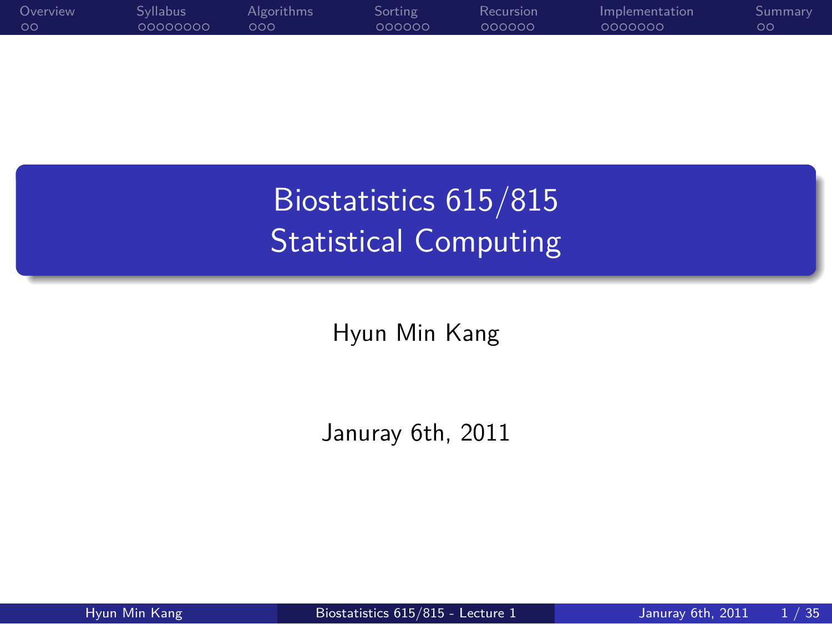

Biostatistics 615/815 Statistical Computing

Hyun Min Kang

.. .

Januray 6th, 2011

.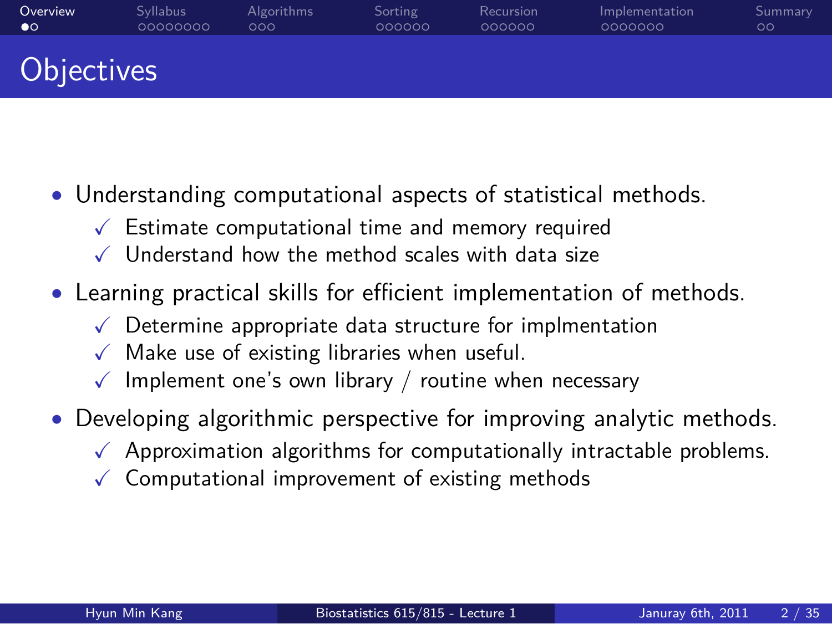#### Overview<br>©○ Syllabus<br>00000000 Algorithms<br>000 Sorting<br>000000 Recursion<br>000000 Implementation<br>0000000 Summary<br>00 **Objectives**

- *•* Understanding computational aspects of statistical methods.
	- $\checkmark$  Estimate computational time and memory required
	- $\checkmark$  Understand how the method scales with data size
- *•* Learning practical skills for efficient implementation of methods.
	- $\sqrt{\phantom{a}}$  Determine appropriate data structure for implmentation
	- $\checkmark$  Make use of existing libraries when useful.
	- $\checkmark$  Implement one's own library / routine when necessary
- *•* Developing algorithmic perspective for improving analytic methods.
	- $\sqrt{\phantom{a}}$  Approximation algorithms for computationally intractable problems.
	- $\checkmark$  Computational improvement of existing methods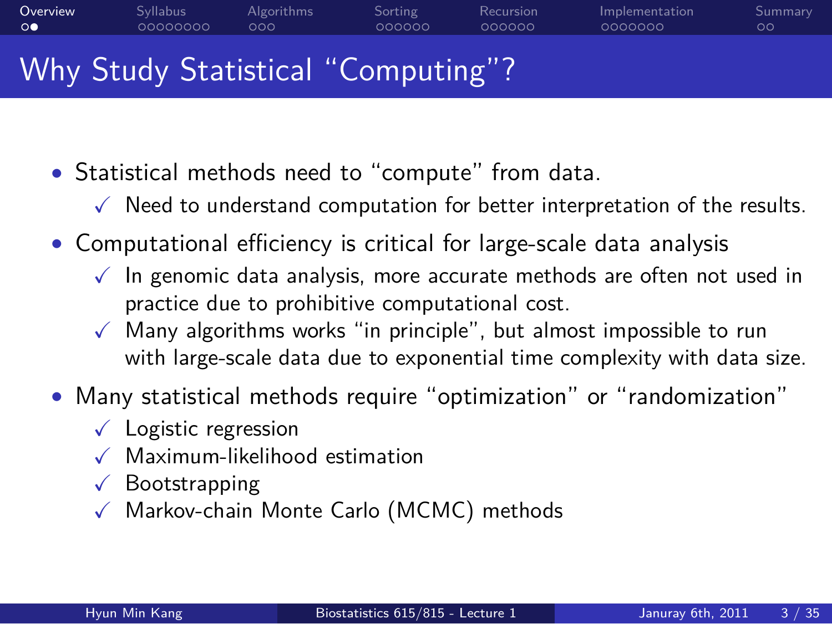#### Overview<br>○● Syllabus<br>00000000 Algorithms<br>000 Sorting<br>000000 Recursion<br>000000 Implementation<br>0000000 Why Study Statistical "Computing"?

- *•* Statistical methods need to "compute" from data.
	- $\checkmark$  Need to understand computation for better interpretation of the results.
- *•* Computational efficiency is critical for large-scale data analysis
	- $\checkmark$  In genomic data analysis, more accurate methods are often not used in practice due to prohibitive computational cost.
	- $\checkmark$  Many algorithms works "in principle", but almost impossible to run with large-scale data due to exponential time complexity with data size.
- *•* Many statistical methods require "optimization" or "randomization"
	- $\checkmark$  Logistic regression
	- $\checkmark$  Maximum-likelihood estimation
	- $\sqrt{\phantom{a}}$  Bootstrapping
	- X Markov-chain Monte Carlo (MCMC) methods

Summary<br>00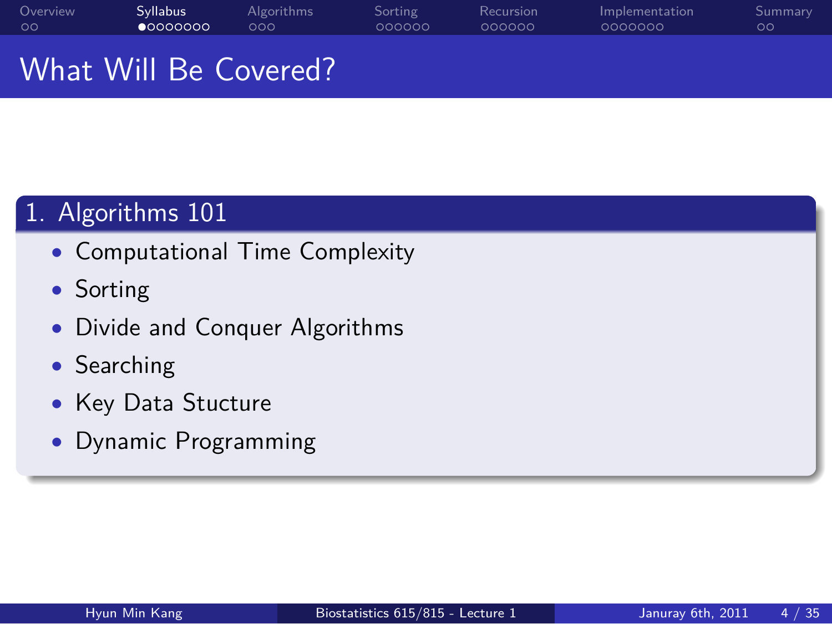#### Overview<br>00 Syllabus<br>● 0000000 Algorithms<br>000 Sorting<br>000000 Recursion<br>000000 Implementation<br>0000000 Summary<br>00 What Will Be Covered?

# 1. Algorithms 101

- *•* Computational Time Complexity
- *•* Sorting
- *•* Divide and Conquer Algorithms
- *•* Searching
- *•* Key Data Stucture
- *•* Dynamic Programming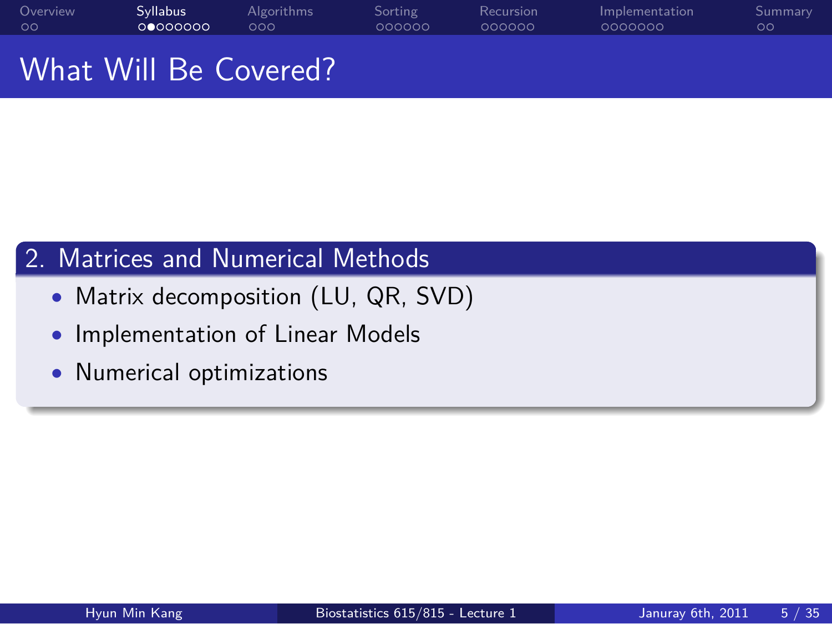#### Overview<br>00 Syllabus<br>0000000 Algorithms<br>000 Sorting<br>000000 Recursion<br>000000 Implementation<br>0000000 Summary<br>00 What Will Be Covered?

### . 2. Matrices and Numerical Methods ..

- *•* Matrix decomposition (LU, QR, SVD)
- *•* Implementation of Linear Models
- *•* Numerical optimizations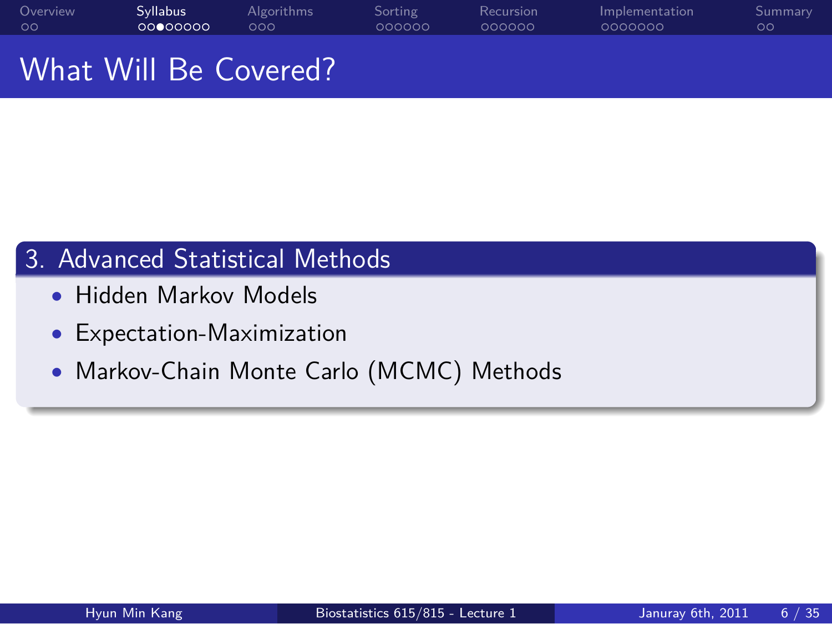#### Overview<br>00 Syllabus<br>00000000 Algorithms<br>000 Sorting<br>000000 Recursion<br>000000 Implementation<br>0000000 Summary<br>00

What Will Be Covered?

3. Advanced Statistical Methods

- *•* Hidden Markov Models
- *•* Expectation-Maximization
- *•* Markov-Chain Monte Carlo (MCMC) Methods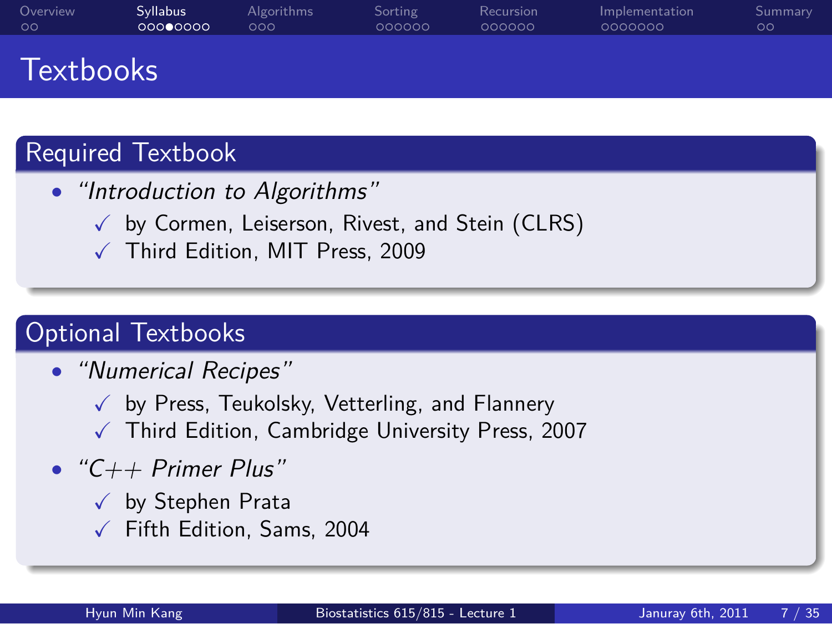#### **Textbooks**

Overview<br>00

## Required Textbook

Syllabus<br>000**0**0000

- *• "Introduction to Algorithms"*
	- $\checkmark$  by Cormen, Leiserson, Rivest, and Stein (CLRS)

Sorting<br>000000

.. .

Recursion<br>000000

Implementation<br>0000000

Summary<br>00

 $\checkmark$  Third Edition, MIT Press, 2009

Algorithms<br>000

# . Optional Textbooks ..

- *• "Numerical Recipes"*
	- $\checkmark$  by Press, Teukolsky, Vetterling, and Flannery
	- $\sqrt{ }$  Third Edition, Cambridge University Press, 2007
- *• "C++ Primer Plus"*
	- $\checkmark$  by Stephen Prata
	- $\checkmark$  Fifth Edition, Sams, 2004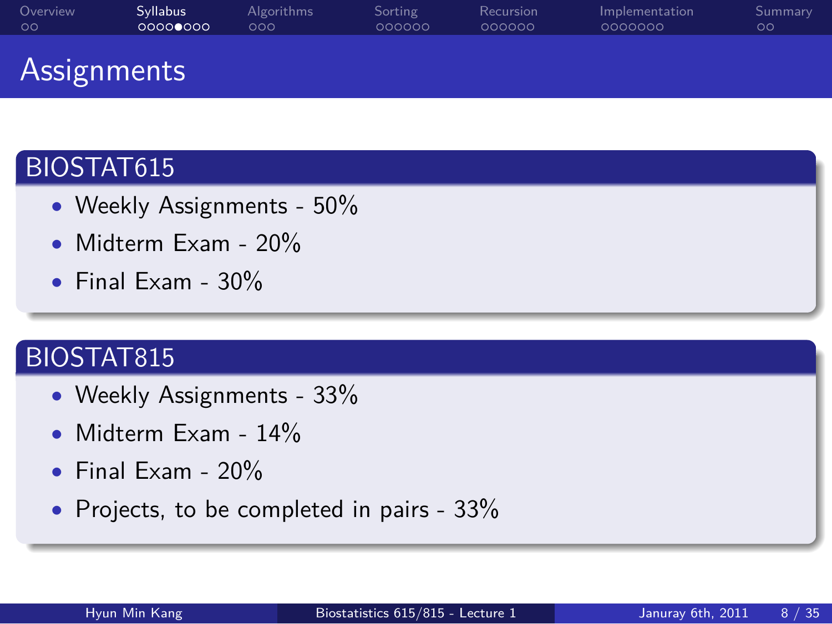#### Overview<br>00 Syllabus<br>00000000 Algorithms<br>000 Sorting<br>000000 Recursion<br>000000 Implementation<br>0000000 Summary<br>00

#### Assignments

### . BIOSTAT615 ..

- *•* Weekly Assignments 50%
- *•* Midterm Exam 20%
- *•* Final Exam 30%

### . BIOSTAT815 ..

- *•* Weekly Assignments 33%
- *•* Midterm Exam 14%
- *•* Final Exam 20%
- *•* Projects, to be completed in pairs 33%

.. .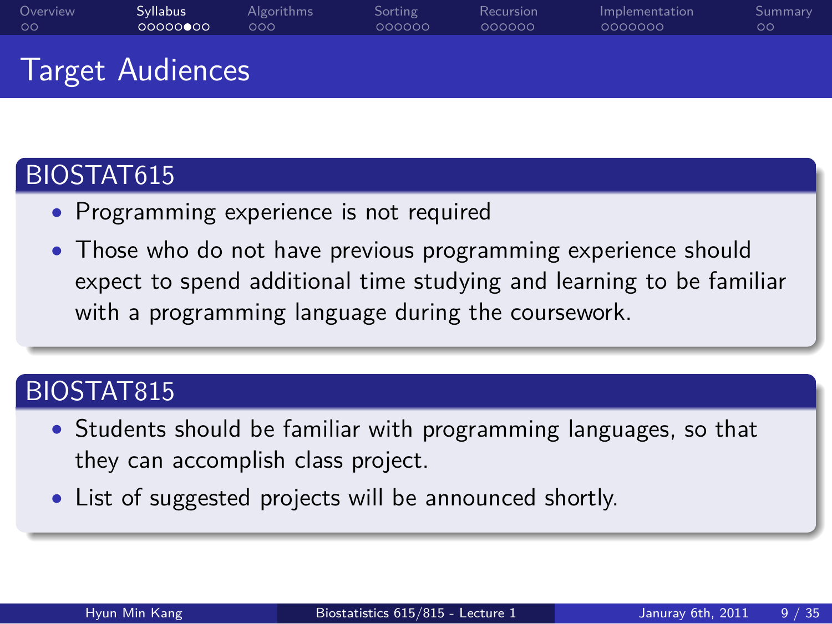#### Target Audiences

Syllabus<br>00000000

### . BIOSTAT615 ..

Overview<br>00

*•* Programming experience is not required

Algorithms<br>000

*•* Those who do not have previous programming experience should expect to spend additional time studying and learning to be familiar with a programming language during the coursework.

.. .

Sorting<br>000000

Recursion<br>000000

Implementation<br>0000000

Summary<br>00

### . BIOSTAT815 ..

- *•* Students should be familiar with programming languages, so that they can accomplish class project.
- *•* List of suggested projects will be announced shortly.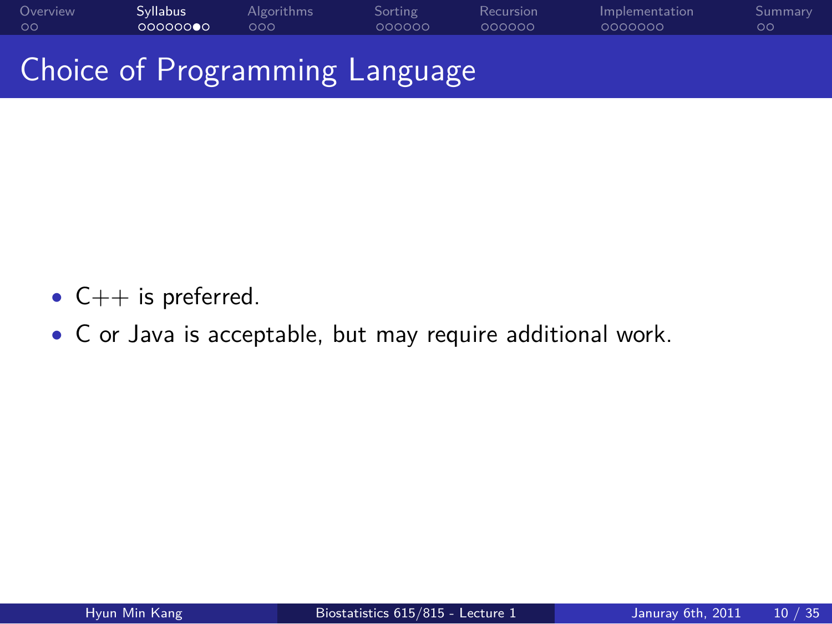#### Overview<br>00 Syllabus<br>000000**0**0 Algorithms<br>000 Sorting<br>000000 Recursion<br>000000 Implementation<br>0000000  $\frac{\mathsf{Sum}}{\mathsf{OO}}$

Choice of Programming Language

- *•* C++ is preferred.
- *•* C or Java is acceptable, but may require additional work.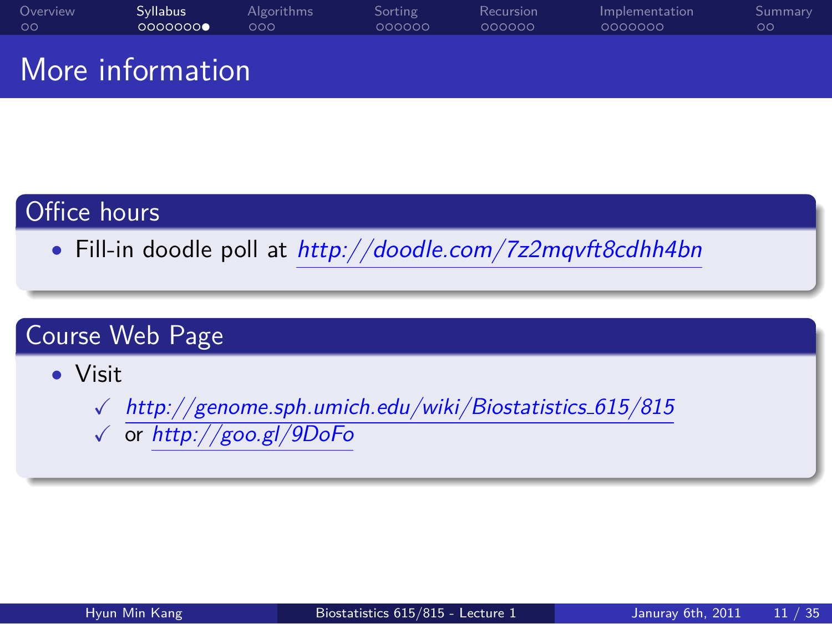#### Overview<br>00 Syllabus<br>0000000 Algorithms<br>000 Sorting<br>000000 Recursion<br>000000 Implementation<br>0000000 Summary<br>00 More information

### Office hours

*•* Fill-in doodle poll at *http://doodle.com/7z2mqvft8cdhh4bn*

.. .

# . Course Web Page ..

- *•* Visit
	- X *http://genome.sph.umich.edu/wiki/Biostatistics 615/815*
	- X or *http://goo.gl/9DoFo*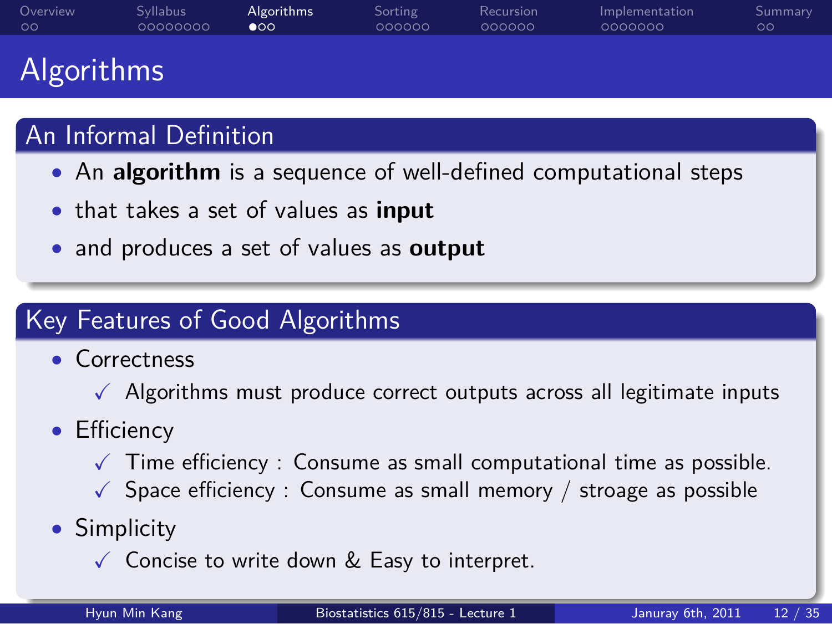#### Overview<br>00 Syllabus<br>00000000 Algorithms<br>●○○ Sorting<br>000000 Recursion<br>000000 Implementation<br>0000000

#### Algorithms

### An Informal Definition

- *•* An **algorithm** is a sequence of well-defined computational steps
- *•* that takes a set of values as **input**
- *•* and produces a set of values as **output**

# Key Features of Good Algorithms

- *•* Correctness
- $\checkmark$  Algorithms must produce correct outputs across all legitimate inputs

.. .

- *•* Efficiency
	- $\checkmark$  Time efficiency : Consume as small computational time as possible.
	- $\checkmark$  Space efficiency : Consume as small memory / stroage as possible
- *•* Simplicity
	- $\checkmark$  Concise to write down & Easy to interpret.

Summary<br>00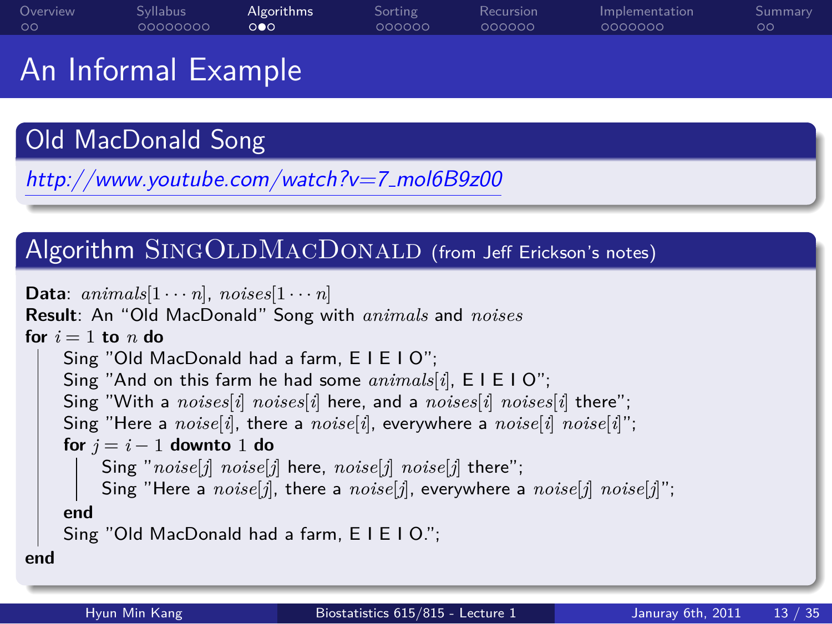#### Overview<br>00 Syllabus<br>00000000 Algorithms<br>०**०**० Sorting<br>000000 Recursion<br>000000 Implementation<br>0000000 Summary<br>00

An Informal Example

# . Old MacDonald Song ..

. *http://www.youtube.com/watch?v=7 mol6B9z00*

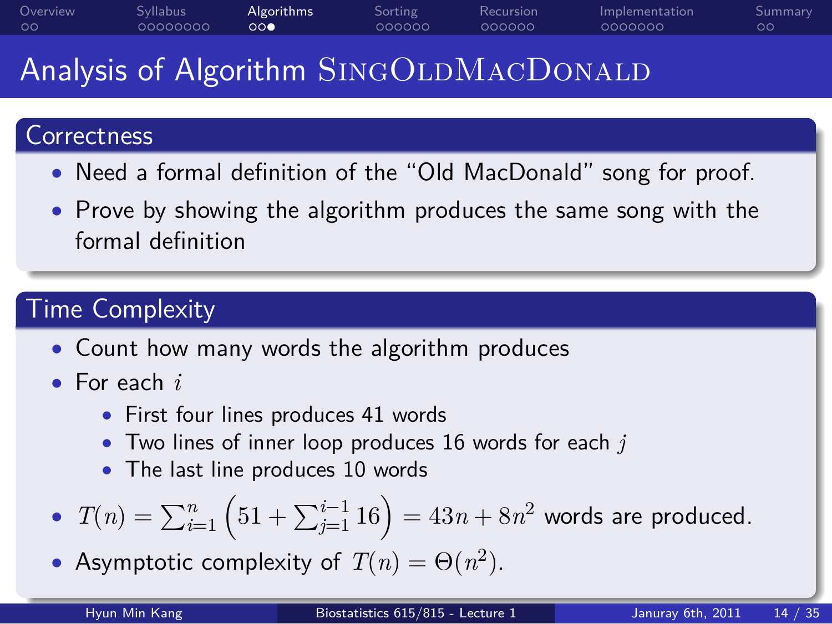#### Analysis of Algorithm SINGOLDMACDONALD

Algorithms<br>000

### . Correctness ..

Syllabus<br>00000000

Overview<br>00

*•* Need a formal definition of the "Old MacDonald" song for proof.

Sorting<br>000000

Recursion<br>000000

Implementation<br>0000000

Summary<br>00

*•* Prove by showing the algorithm produces the same song with the formal definition

.. .

# . Time Complexity ..

- *•* Count how many words the algorithm produces
- *•* For each *i*
	- *•* First four lines produces 41 words
	- *•* Two lines of inner loop produces 16 words for each *j*
	- *•* The last line produces 10 words

• 
$$
T(n) = \sum_{i=1}^{n} (51 + \sum_{j=1}^{i-1} 16) = 43n + 8n^2
$$
 words are produced.

• Asymptotic complexity of  $T(n) = \Theta(n^2)$ .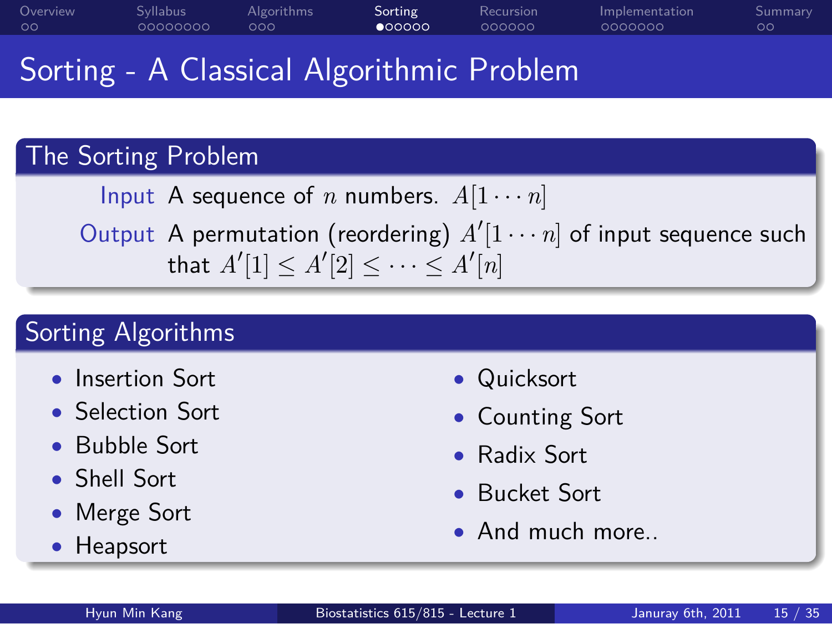#### Sorting - A Classical Algorithmic Problem

Algorithms<br>000

# . The Sorting Problem ..

Syllabus<br>00000000

Overview<br>00

Input A sequence of  $n$  numbers.  $A[1 \cdots n]$ 

.. . Output A permutation (reordering)  $A'[1 \cdots n]$  of input sequence such that  $A'[1] \leq A'[2] \leq \cdots \leq A'[n]$ 

Sorting<br>● 00000

# Sorting Algorithms

- *•* Insertion Sort
- *•* Selection Sort
- *•* Bubble Sort
- *•* Shell Sort
- *•* Merge Sort
- .. . *•* Heapsort
- *•* Quicksort

Recursion<br>000000

Implementation<br>0000000

Summary<br>00

- *•* Counting Sort
- *•* Radix Sort
- *•* Bucket Sort
- *•* And much more..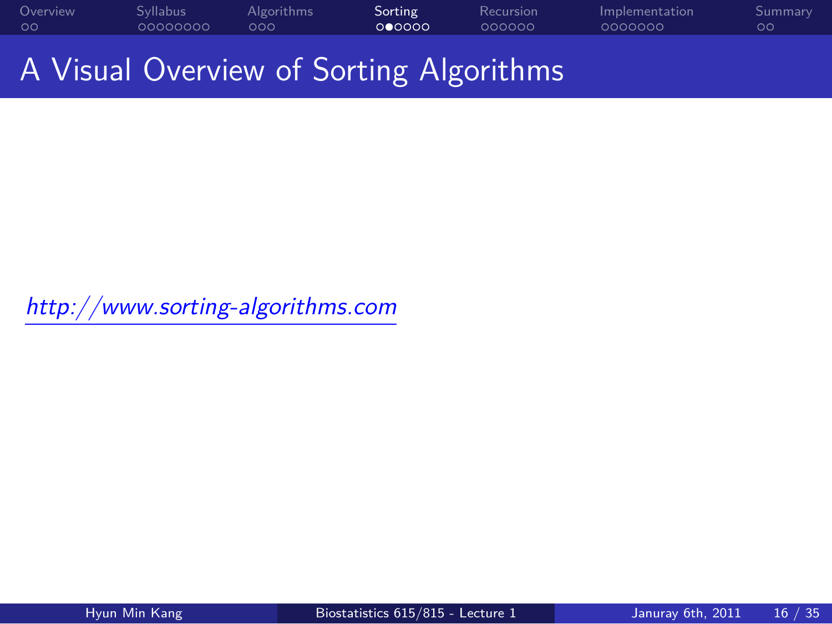Overview<br>00 . . . . . . . . Syllabus . . . Algorithms Sorting<br>000000 Recursion<br>000000 Implementation<br>0000000 Summary<br>00

A Visual Overview of Sorting Algorithms

*http://www.sorting-algorithms.com*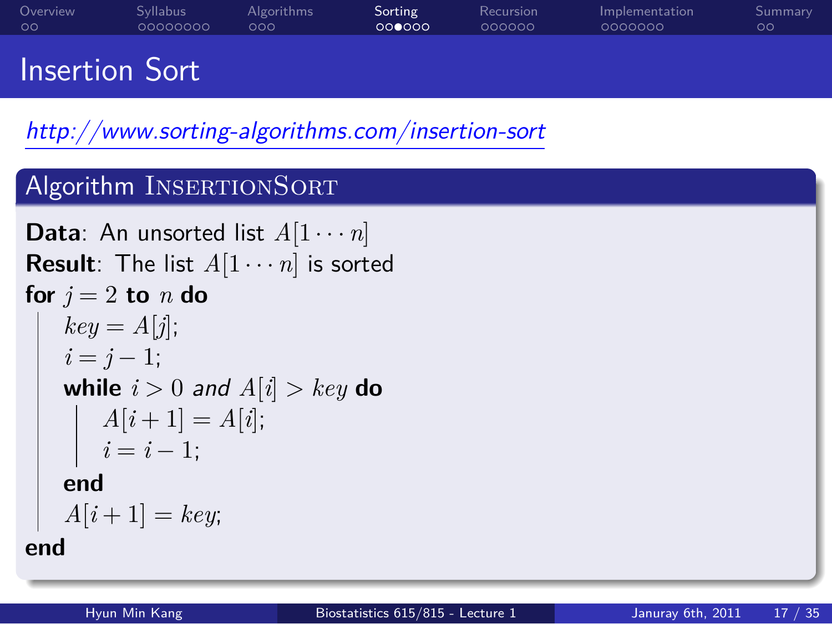#### Overview<br>00 Syllabus<br>00000000 Algorithms<br>000 Sorting<br>000000 Recursion<br>000000 Implementation<br>0000000 Summary<br>00 Insertion Sort

*http://www.sorting-algorithms.com/insertion-sort*

```
Algorithm INSERTIONSORT
.
end
.. .
Data: An unsorted list A[1 \cdots n]Result: The list A[1 \cdots n] is sorted
for j = 2 to n do
   key = A[j];i = j - 1;while i > 0 and A[i] > key do
      A[i+1] = A[i];i = i - 1;end
   A[i + 1] = key;Hyun Min Kang Biostatistics 615/815 - Lecture 1 Januray 6th, 2011 17 / 35
```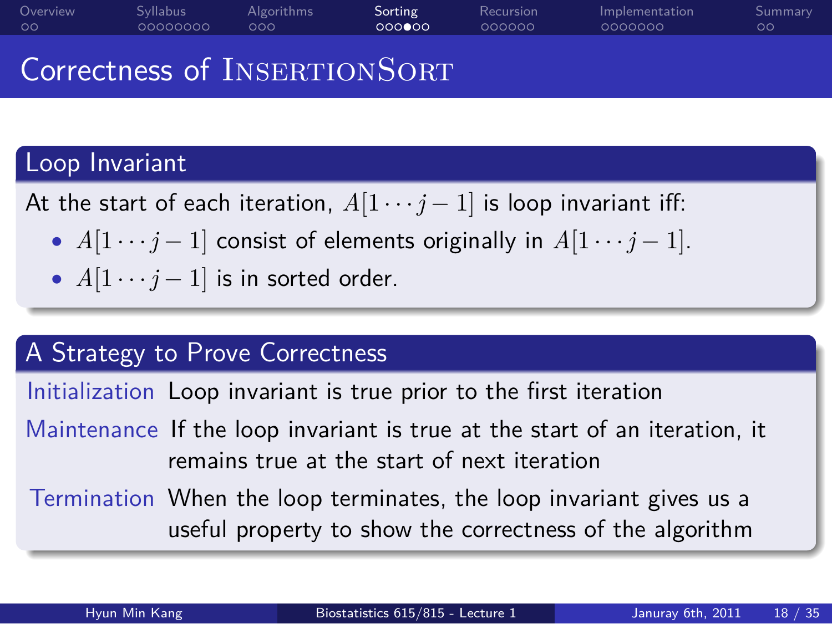#### Correctness of INSERTIONSORT

Algorithms<br>000

Syllabus<br>00000000

## Loop Invariant

Overview<br>00

At the start of each iteration,  $A[1 \cdots j-1]$  is loop invariant iff:

*• A*[1 *· · · j −* 1] consist of elements originally in *A*[1 *· · · j −* 1].

Sorting<br>000000

Recursion<br>000000

Implementation<br>0000000

Summary<br>00

•  $A[1 \cdots j-1]$  is in sorted order.

# . A Strategy to Prove Correctness ..

Initialization Loop invariant is true prior to the first iteration

Maintenance If the loop invariant is true at the start of an iteration, it remains true at the start of next iteration

.. .

.. . Termination When the loop terminates, the loop invariant gives us a useful property to show the correctness of the algorithm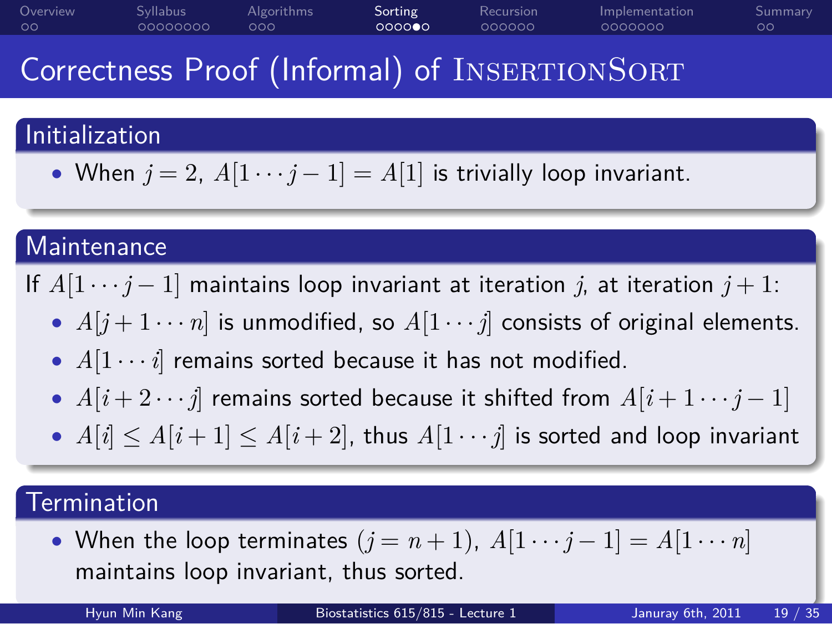#### Correctness Proof (Informal) of INSERTIONSORT

Sorting<br>000000

Recursion<br>000000

Implementation<br>0000000

 $\circ$ Summary

Algorithms<br>000

### . Initialization ..

Syllabus<br>00000000

Overview<br>00

• When  $j = 2$ ,  $A[1 \cdots j-1] = A[1]$  is trivially loop invariant.

### Maintenance

If  $A[1 \cdots j-1]$  maintains loop invariant at iteration *j*, at iteration  $j+1$ :

.. .

- $A[j+1\cdots n]$  is unmodified, so  $A[1\cdots j]$  consists of original elements.
- *• A*[1 *· · · i*] remains sorted because it has not modified.
- *• A*[*i* + 2 *· · · j*] remains sorted because it shifted from *A*[*i* + 1 *· · · j −* 1]
- .. . •  $A[i] \leq A[i+1] \leq A[i+2]$ , thus  $A[1 \cdots j]$  is sorted and loop invariant

.. . Hyun Min Kang Biostatistics 615/815 - Lecture 1 Januray 6th, 2011 19 / 35

### . Termination ..

.

• When the loop terminates  $(j = n + 1)$ ,  $A[1 \cdots j - 1] = A[1 \cdots n]$ maintains loop invariant, thus sorted.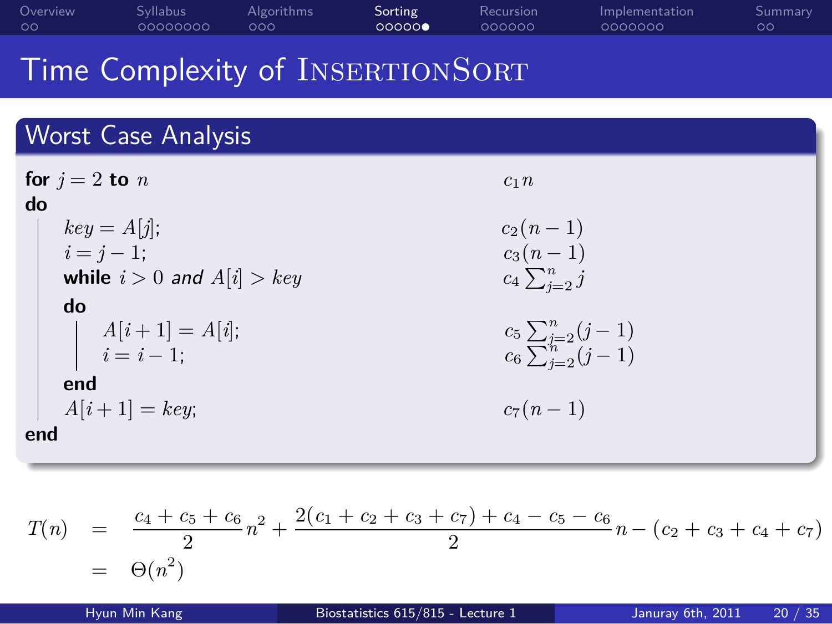| Overview | <b>Syllabus</b> | Algorithms | Sorting | Recursion | Implementation | Summary       |
|----------|-----------------|------------|---------|-----------|----------------|---------------|
| 00       | 00000000        | റററ        | 00000   | 000000    | 0000000        | $\circ \circ$ |
|          |                 |            |         |           |                |               |

#### Time Complexity of INSERTIONSORT

| <b>Worst Case Analysis</b>                                                                   |                                                                     |
|----------------------------------------------------------------------------------------------|---------------------------------------------------------------------|
| for $i = 2$ to $n$<br>do<br>$key = A[j];$<br>$i = j - 1$ ;<br>while $i > 0$ and $A[i] > key$ | c <sub>1</sub> n<br>$c_2(n-1)$<br>$c_3(n-1)$<br>$c_4\sum_{i=2}^n j$ |
| do<br>$A[i+1] = A[i];$<br>$i = i - 1;$                                                       | $c_5 \sum_{j=2}^n (j-1)$<br>$c_6 \sum_{j=2}^n (j-1)$                |
| end<br>$A[i+1] = key;$<br>end                                                                | $c_7(n-1)$                                                          |

 $T(n) = \frac{c_4 + c_5 + c_6}{2}n^2 + \frac{2(c_1 + c_2 + c_3 + c_7) + c_4 - c_5 - c_6}{2}$  $\frac{c_1 + c_4}{2}$  *n* − (*c*<sub>2</sub> + *c*<sub>3</sub> + *c*<sub>4</sub> + *c*<sub>7</sub>)  $= \Theta(n^2)$ 

Hyun Min Kang Biostatistics 615/815 - Lecture 1 Januray 6th, 2011 20 / 35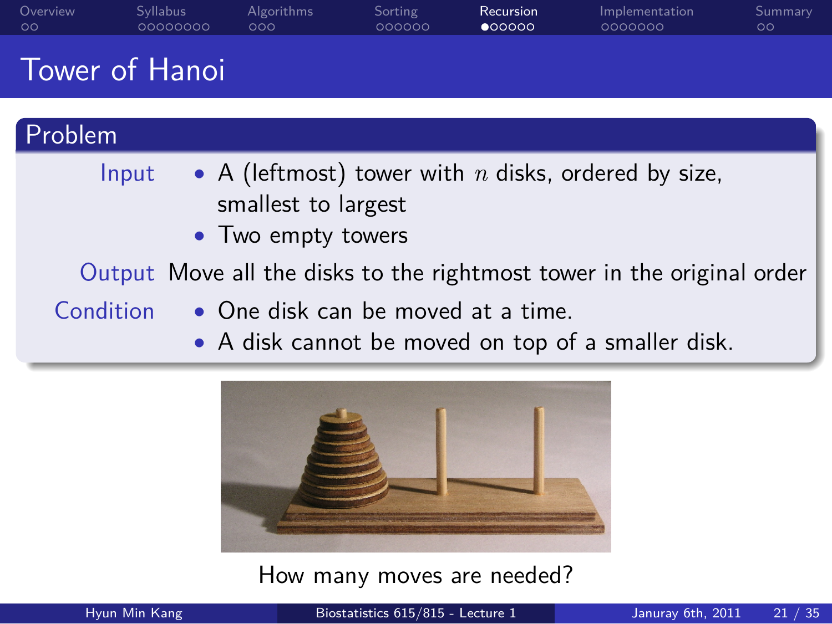| Overview<br>$\circ$ | <b>Syllabus</b><br>00000000                                                                           | Algorithms<br>000                         | Sorting<br>000000 | Recursion<br>$\bullet$ 00000 | Implementation<br>0000000                                              | Summary<br>$\circ$ |
|---------------------|-------------------------------------------------------------------------------------------------------|-------------------------------------------|-------------------|------------------------------|------------------------------------------------------------------------|--------------------|
|                     | <b>Tower of Hanoi</b>                                                                                 |                                           |                   |                              |                                                                        |                    |
| Problem             |                                                                                                       |                                           |                   |                              |                                                                        |                    |
|                     | Input                                                                                                 | smallest to largest<br>• Two empty towers |                   |                              | • A (leftmost) tower with $n$ disks, ordered by size,                  |                    |
|                     |                                                                                                       |                                           |                   |                              | Output Move all the disks to the rightmost tower in the original order |                    |
|                     | Condition<br>• One disk can be moved at a time.<br>• A disk cannot be moved on top of a smaller disk. |                                           |                   |                              |                                                                        |                    |
|                     |                                                                                                       | $\mathbf{r}$                              |                   | $\sim$                       |                                                                        |                    |

How many moves are needed?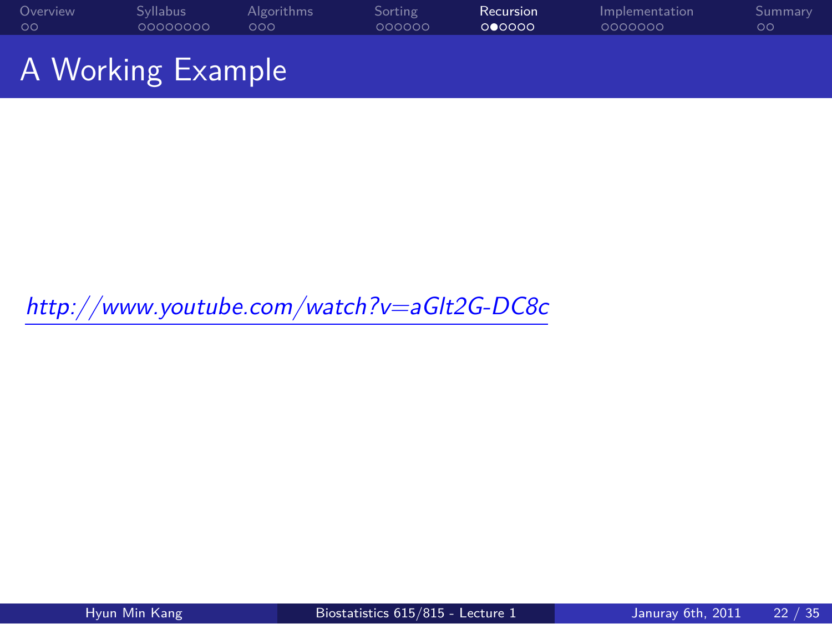

*http://www.youtube.com/watch?v=aGlt2G-DC8c*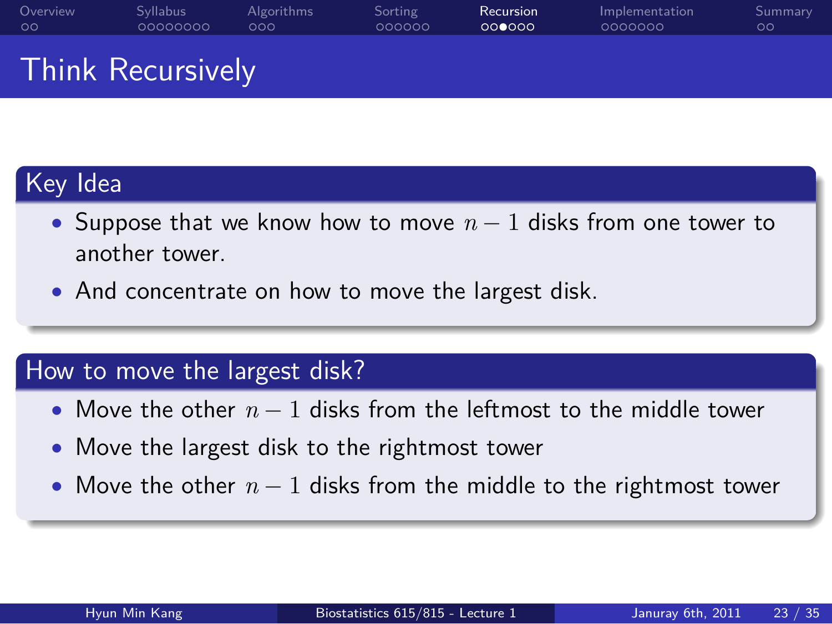Recursion<br>000000 Implementation<br>0000000

#### Think Recursively

Syllabus<br>00000000

# Key Idea

Overview<br>00

*•* Suppose that we know how to move *n −* 1 disks from one tower to another tower.

.. .

Sorting<br>000000

*•* And concentrate on how to move the largest disk.

Algorithms<br>000

# . How to move the largest disk? ..

- *•* Move the other *n −* 1 disks from the leftmost to the middle tower
- *•* Move the largest disk to the rightmost tower
- .. . *•* Move the other *n −* 1 disks from the middle to the rightmost tower

Summary<br>00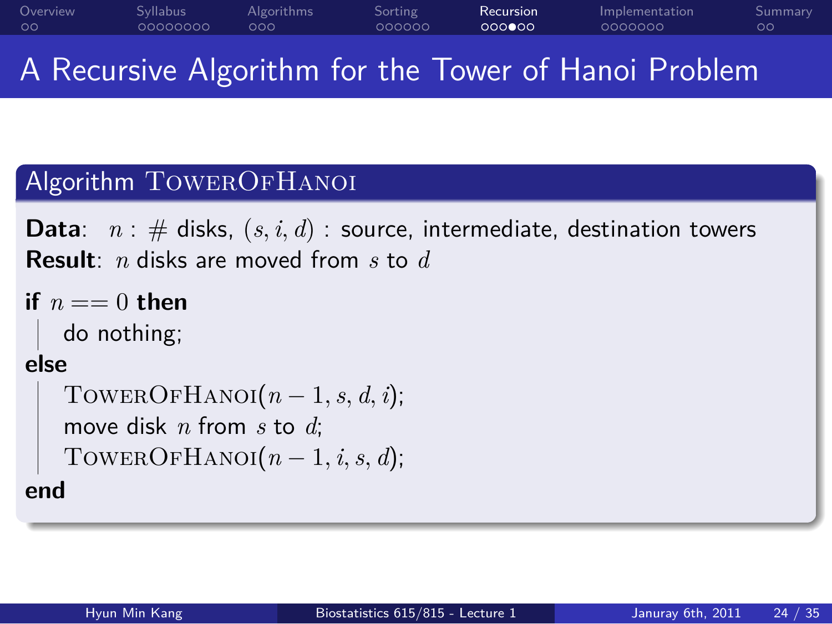#### Overview<br>00 Syllabus<br>00000000 Algorithms<br>000 Sorting<br>000000 Recursion<br>000000 Implementation<br>0000000 Summary<br>00 A Recursive Algorithm for the Tower of Hanoi Problem

# Algorithm TOWEROFHANOI

**Data**:  $n : #$  disks,  $(s, i, d) :$  source, intermediate, destination towers **Result**: *n* disks are moved from *s* to *d* **if**  $n == 0$  **then** 

```
.
end
   do nothing;
else
   TOWEROFHANOI(n-1, s, d, i);
   move disk n from s to d;
   TOWEROFHANOI(n-1, i, s, d);
```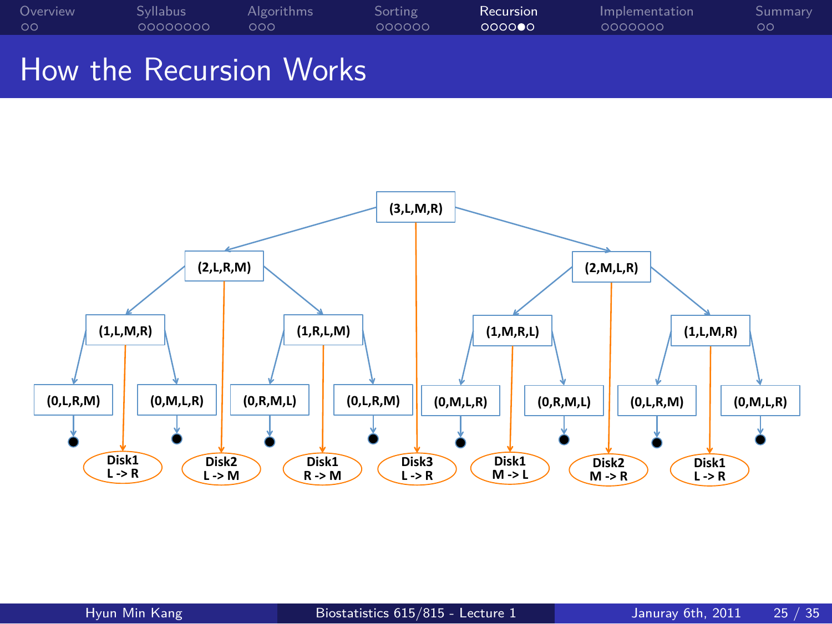

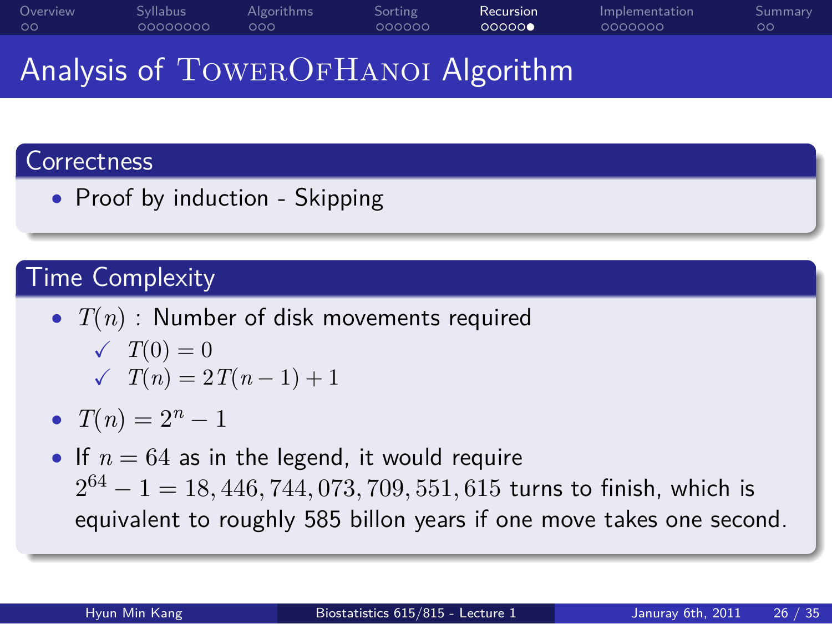#### Analysis of TOWEROFHANOI Algorithm

Sorting<br>000000

.. .

Recursion<br>000000

Implementation<br>0000000

 $\frac{Sun}{OO}$ nary

Algorithms<br>000

### . Correctness ..

Overview<br>00

*•* Proof by induction - Skipping

Syllabus<br>00000000

# . Time Complexity ..

- *• T*(*n*) : Number of disk movements required  $\sqrt{T(0)} = 0$  $\checkmark$  *T*(*n*) = 2*T*(*n* − 1) + 1
- $T(n) = 2^n 1$
- *•* If *n* = 64 as in the legend, it would require 2 <sup>64</sup> *<sup>−</sup>* 1 = 18*,* <sup>446</sup>*,* <sup>744</sup>*,* <sup>073</sup>*,* <sup>709</sup>*,* <sup>551</sup>*,* <sup>615</sup> turns to finish, which is equivalent to roughly 585 billon years if one move takes one second.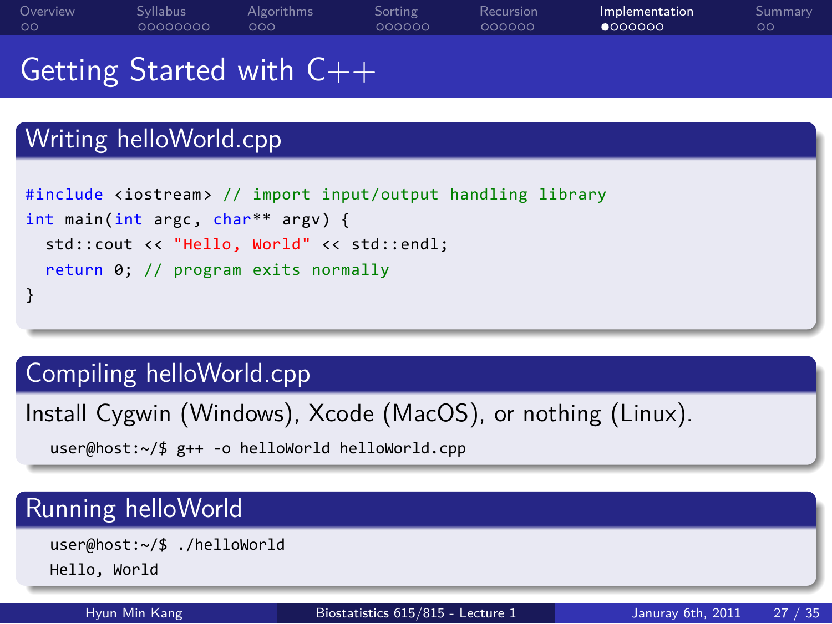#### Getting Started with C++ Writing helloWorld.cpp #include <iostream> // import input/output handling library

Sorting<br>000000

Recursion<br>000000

Implementation<br>●000000

 $\frac{Sun}{OO}$ nary

```
.
}
.. .
int main(int argc, char** argv) {
 std::cout << "Hello, World" << std::endl;
 return 0; // program exits normally
```
Algorithms<br>000

# Compiling helloWorld.cpp

Syllabus<br>00000000

Install Cygwin (Windows), Xcode (MacOS), or nothing (Linux).

.. . user@host:~/\$ g++ -o helloWorld helloWorld.cpp

# Running helloWorld

Overview<br>00

.. . user@host:~/\$ ./helloWorld Hello, World

Hyun Min Kang Biostatistics 615/815 - Lecture 1 Januray 6th, 2011 27 / 35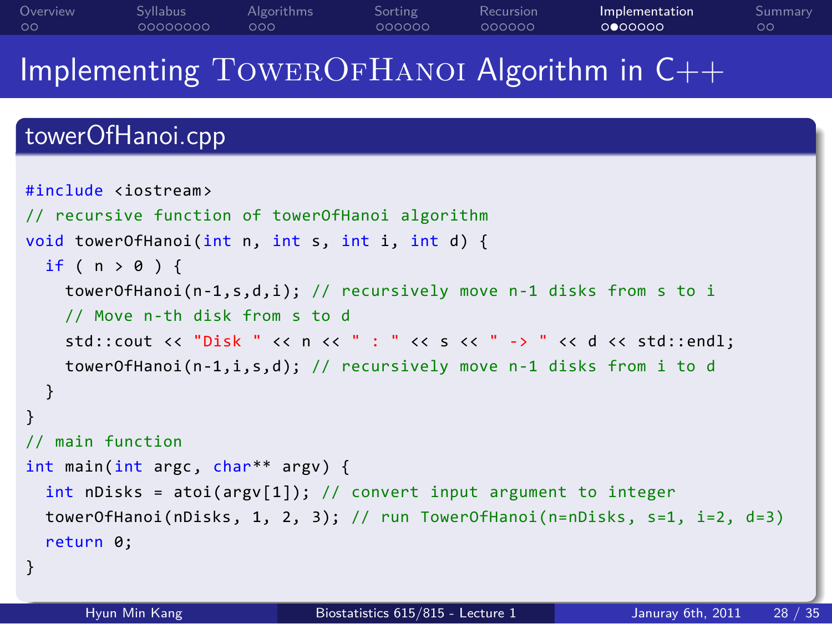Overview<br>00 Syllabus<br>00000000 Algorithms<br>000 Sorting<br>000000 Implementation<br>000000

Summary<br>00

Recursion<br>000000

Implementing TowerOfHanoi Algorithm in C++

# . towerOfHanoi.cpp ..

```
1.<br>128 / Hyun Min Kang Biostatistics 615/815 - Lecture 1 Januray 6th, 2011 28 / 35
#include <iostream>
// recursive function of towerOfHanoi algorithm
void towerOfHanoi(int n, int s, int i, int d) {
 if ( n > 0 ) {
    towerOfHanoi(n-1,s,d,i); // recursively move n-1 disks from s to i
    // Move n-th disk from s to d
    std::cout << "Disk " << n << " : " << s << " -> " << d << std::endl;
    towerOfHanoi(n-1,i,s,d); // recursively move n-1 disks from i to d
  }
}
// main function
int main(int argc, char** argv) {
  int nDisks = atoi(argv[1]); // convert input argument to integer
  towerOfHanoi(nDisks, 1, 2, 3); // run TowerOfHanoi(n=nDisks, s=1, i=2, d=3)
  return 0;
}
```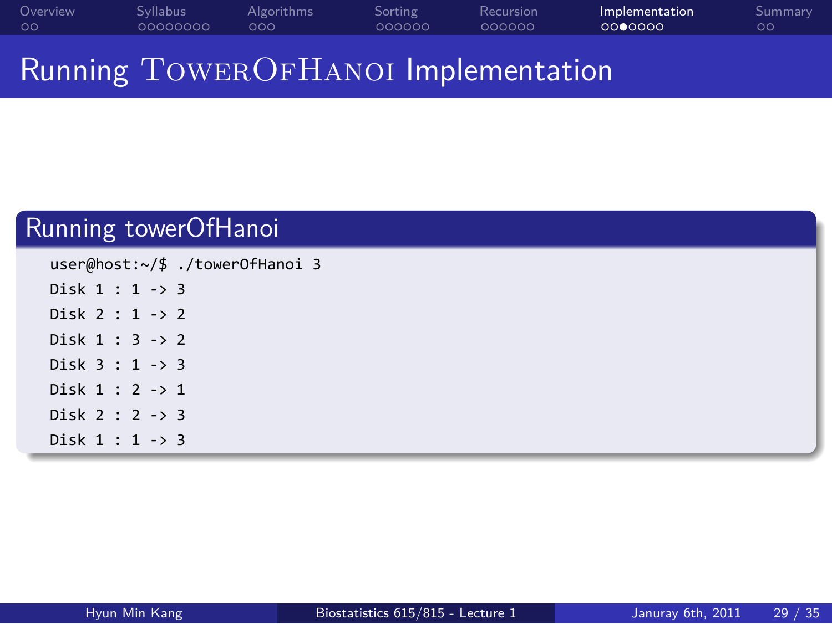#### Overview<br>00 . . . . . . . . Syllabus . . . Algorithms . . . . . . Sorting . . . . . . Recursion Implementation<br>0000000 Summary<br>00

Running TOWEROFHANOI Implementation

| Running towerOfHanoi            |  |  |  |  |  |
|---------------------------------|--|--|--|--|--|
| user@host:~/\$ ./towerOfHanoi 3 |  |  |  |  |  |
| Disk $1 : 1 -> 3$               |  |  |  |  |  |
| Disk $2:1 \rightarrow 2$        |  |  |  |  |  |
| Disk $1:3 \rightarrow 2$        |  |  |  |  |  |
| Disk $3:1 \rightarrow 3$        |  |  |  |  |  |
| Disk $1:2 \rightarrow 1$        |  |  |  |  |  |
| Disk $2:2 \rightarrow 3$        |  |  |  |  |  |
| Disk $1:1 \rightarrow 3$        |  |  |  |  |  |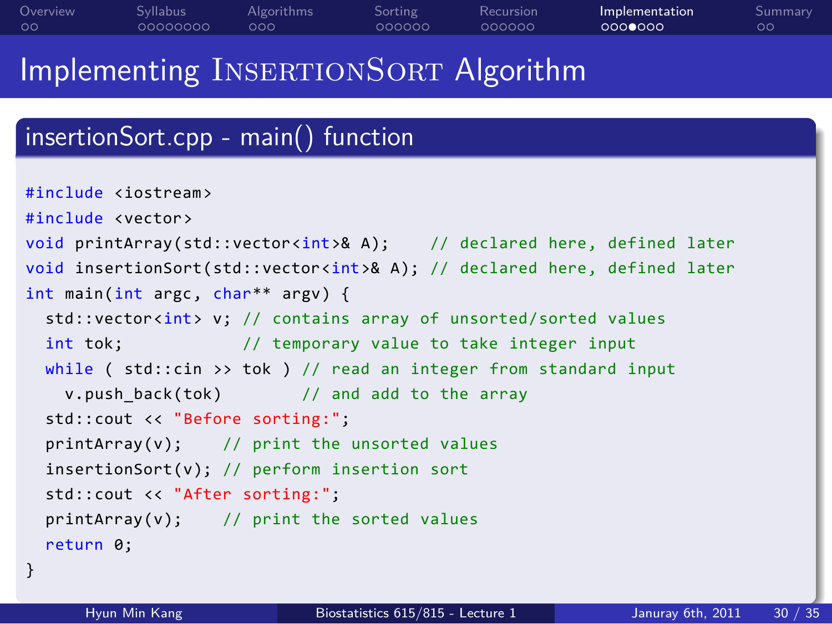#### Implementing INSERTIONSORT Algorithm . insertionSort.cpp - main() function .. . 1 .<br>2011 - Hyun Min Kang Biostatistics 615/815 - Lecture 1 Januray 6th, 2011 30 / 35 #include <iostream> #include <vector> void printArray(std::vector<int>& A); // declared here, defined later void insertionSort(std::vector<int>& A); // declared here, defined later int main(int argc, char\*\* argv) { std::vector<int> v; // contains array of unsorted/sorted values int tok;  $\frac{1}{2}$  // temporary value to take integer input while ( std::cin >> tok ) // read an integer from standard input v.push\_back(tok) // and add to the array std::cout << "Before sorting:"; printArray(v); // print the unsorted values insertionSort(v); // perform insertion sort std::cout << "After sorting:"; printArray(v); // print the sorted values return 0; }

Sorting<br>000000

Recursion<br>000000

Implementation<br>000**0**000

Summary<br>00

Overview<br>00

. . . . . . . . Syllabus . . . Algorithms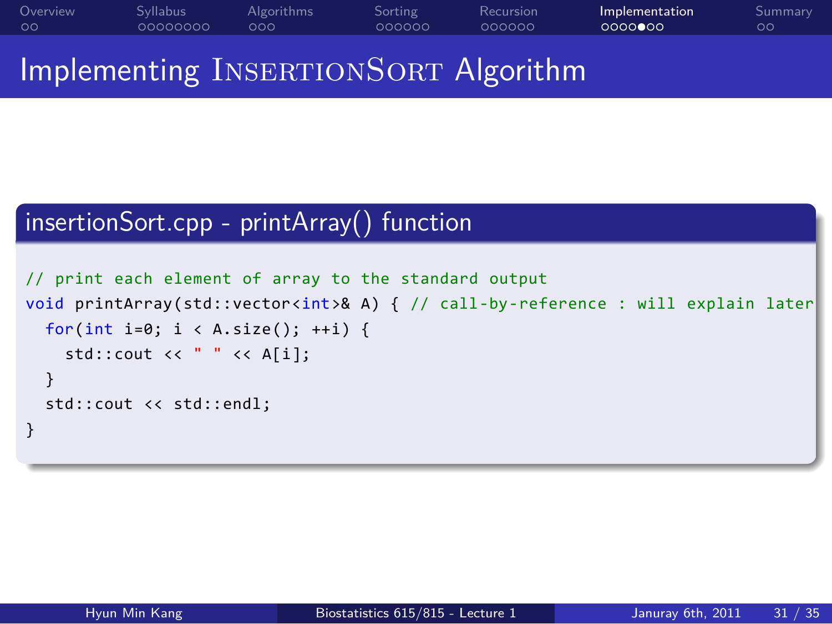Overview<br>00 . . . . . . . . Syllabus . . . Algorithms Sorting<br>000000 Recursion<br>000000 Implementation<br>0000000  $\frac{Sum}{ }$ mary Implementing INSERTIONSORT Algorithm

#### . insertionSort.cpp - printArray() function ..

```
.
}
// print each element of array to the standard output
void printArray(std::vector<int>& A) { // call-by-reference : will explain later
 for(int i=0; i < A.size(); ++i) {
   std::cout << " " << A[i];
 }
 std::cout << std::endl;
```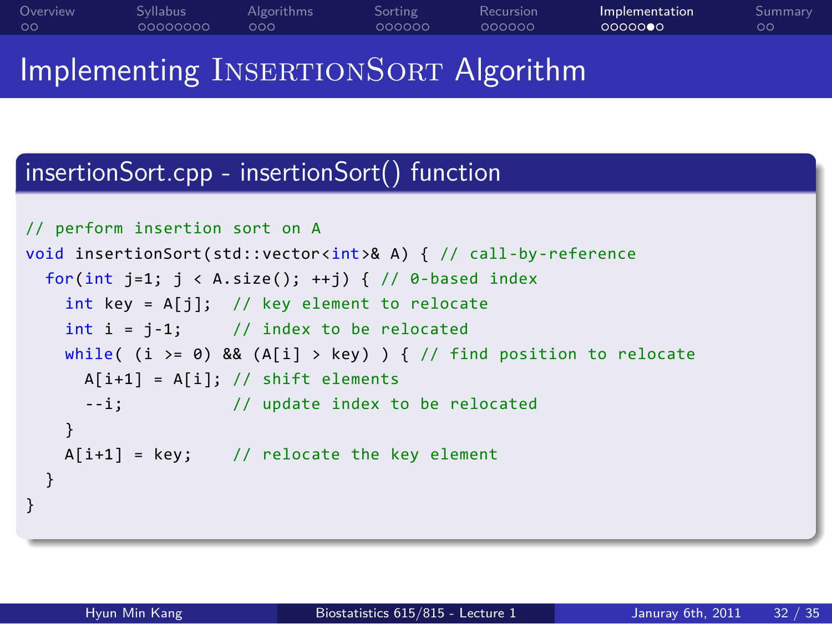#### Overview<br>00 . . . . . . . . Syllabus . . . Algorithms Sorting<br>000000 Recursion<br>000000 Implementation<br>0000000 Summary<br>00 Implementing INSERTIONSORT Algorithm

#### . insertionSort.cpp - insertionSort() function ..

```
.
}
.. .
// perform insertion sort on A
void insertionSort(std::vector<int>& A) { // call-by-reference
 for(int j=1; j < A.size(); ++j) { // 0-based index
   int key = A[j]; // key element to relocate
   int i = j-1; // index to be relocated
   while( (i >= 0) && (A[i] > key) ) { // find position to relocate
    A[i+1] = A[i]; // shift elements
     --i; // update index to be relocated
   }
   A[i+1] = key; // relocate the key element
 }
```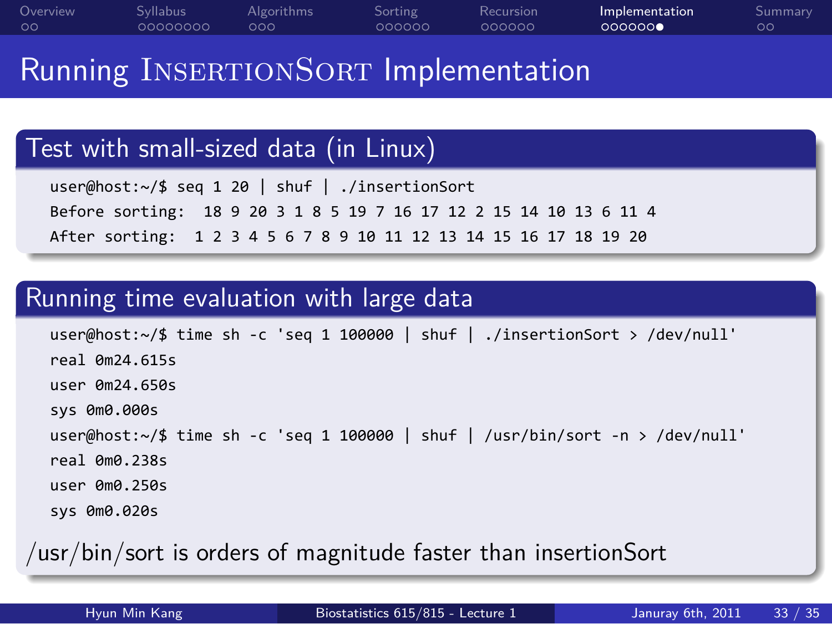#### Overview<br>00 Syllabus<br>00000000 Algorithms<br>000 Sorting<br>000000 Recursion<br>000000 Implementation<br>0000000 Summary<br>00

#### Running INSERTIONSORT Implementation

. Test with small-sized data (in Linux) ..

```
.. .
 user@host:~/$ seq 1 20 | shuf | ./insertionSort
 Before sorting: 18 9 20 3 1 8 5 19 7 16 17 12 2 15 14 10 13 6 11 4
 After sorting: 1 2 3 4 5 6 7 8 9 10 11 12 13 14 15 16 17 18 19 20
```
# . Running time evaluation with large data ..

```
user@host:~/$ time sh -c 'seq 1 100000 | shuf | ./insertionSort > /dev/null'
real 0m24.615s
user 0m24.650s
sys 0m0.000s
user@host:~/$ time sh -c 'seq 1 100000 | shuf | /usr/bin/sort -n > /dev/null'
real 0m0.238s
user 0m0.250s
sys 0m0.020s
```
. /usr/bin/sort is orders of magnitude faster than insertionSort .. .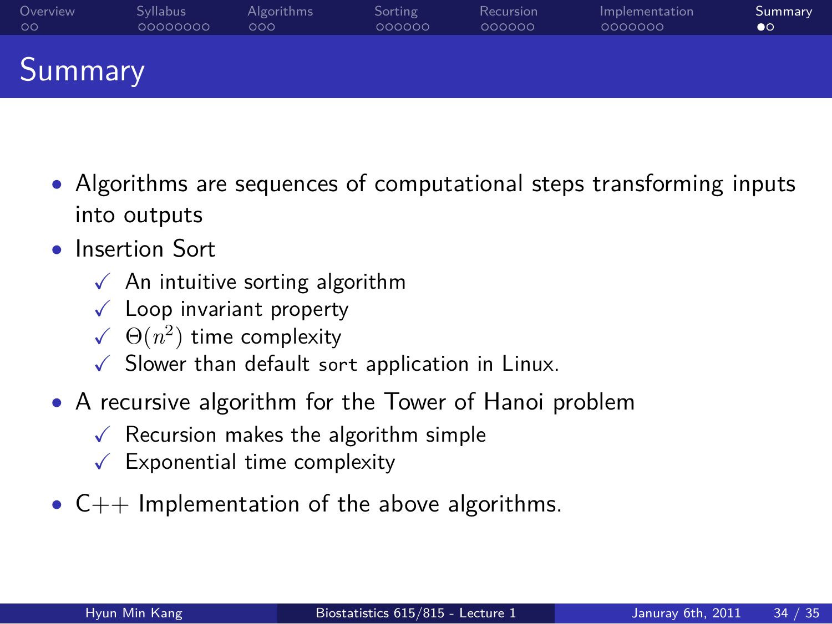#### Overview<br>00 Syllabus<br>00000000 Algorithms<br>000 Sorting<br>000000 Recursion<br>000000 Implementation<br>0000000 . . Summary Summary

- *•* Algorithms are sequences of computational steps transforming inputs into outputs
- *•* Insertion Sort
	- $\checkmark$  An intuitive sorting algorithm
	- $\checkmark$  Loop invariant property
	- $\checkmark$   $\Theta(n^2)$  time complexity
	- $\checkmark$  Slower than default sort application in Linux.
- *•* A recursive algorithm for the Tower of Hanoi problem
	- $\checkmark$  Recursion makes the algorithm simple
	- $\checkmark$  Exponential time complexity
- *•* C++ Implementation of the above algorithms.